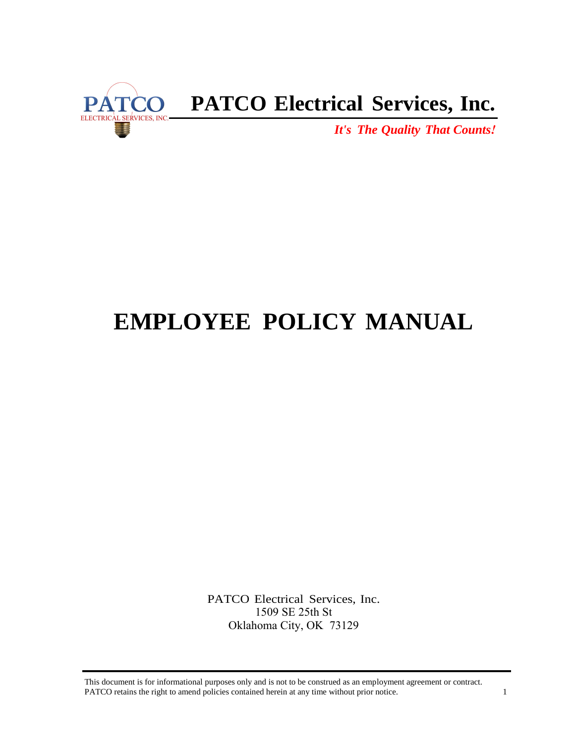

## **PATCO Electrical Services, Inc.**

*It's The Quality That Counts!*

# **EMPLOYEE POLICY MANUAL**

PATCO Electrical Services, Inc. 1509 SE 25th St Oklahoma City, OK 73129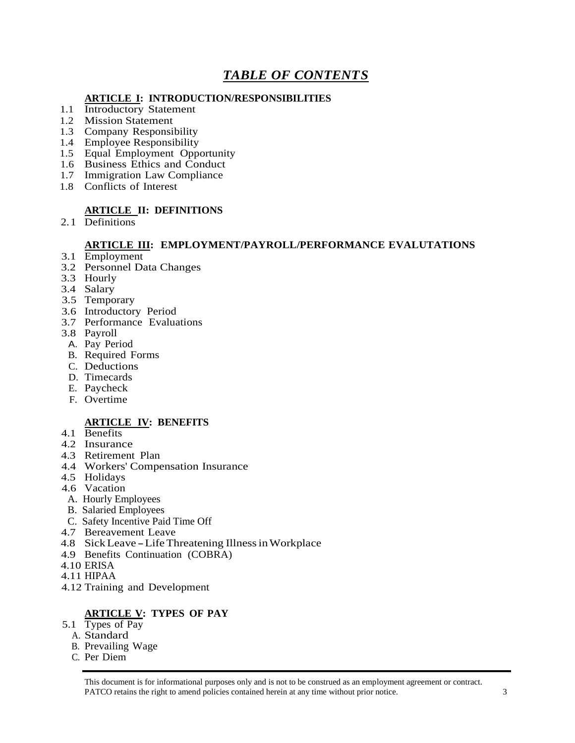## *TABLE OF CONTENTS*

#### **ARTICLE I: INTRODUCTION/RESPONSIBILITIES**

- 1.1 Introductory Statement
- 1.2 Mission Statement
- 1.3 Company Responsibility
- 1.4 Employee Responsibility
- 1.5 Equal Employment Opportunity
- 1.6 Business Ethics and Conduct
- 1.7 Immigration Law Compliance
- 1.8 Conflicts of Interest

#### **ARTICLE II: DEFINITIONS**

2. 1 Definitions

#### **ARTICLE III: EMPLOYMENT/PAYROLL/PERFORMANCE EVALUTATIONS**

- 3.1 Employment
- 3.2 Personnel Data Changes
- 3.3 Hourly
- 3.4 Salary
- 3.5 Temporary
- 3.6 Introductory Period
- 3.7 Performance Evaluations
- 3.8 Payroll
- A. Pay Period
- B. Required Forms
- C. Deductions
- D. Timecards
- E. Paycheck
- F. Overtime

#### **ARTICLE IV: BENEFITS**

- 4.1 Benefits
- 4.2 Insurance
- 4.3 Retirement Plan
- 4.4 Workers' Compensation Insurance
- 4.5 Holidays
- 4.6 Vacation
- A. Hourly Employees
- B. Salaried Employees
- C. Safety Incentive Paid Time Off
- 4.7 Bereavement Leave
- 4.8 Sick Leave Life Threatening Illness in Workplace
- 4.9 Benefits Continuation (COBRA)
- 4.10 ERISA
- 4.11 HIPAA
- 4.12 Training and Development

## **ARTICLE V: TYPES OF PAY**

- 5.1 Types of Pay
	- A. Standard
	- B. Prevailing Wage
	- C. Per Diem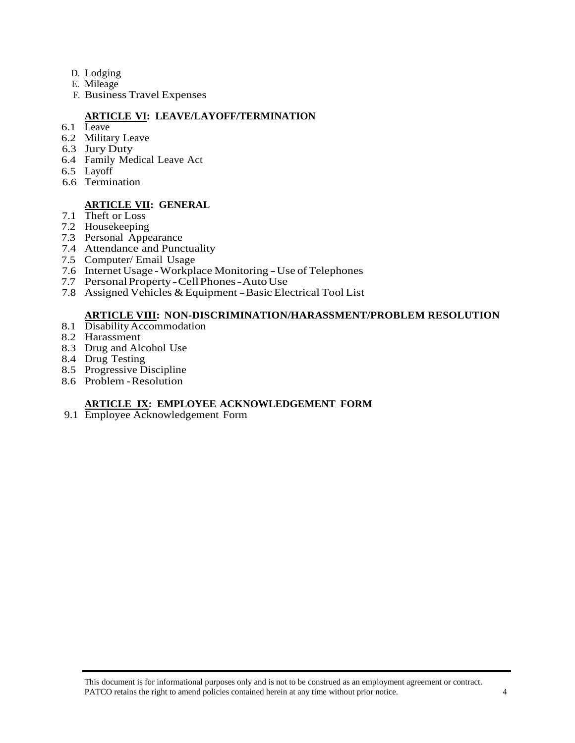- D. Lodging
- E. Mileage
- F. Business Travel Expenses

## **ARTICLE VI: LEAVE/LAYOFF/TERMINATION**

- 6.1 Leave
- 6.2 Military Leave
- 6.3 Jury Duty
- 6.4 Family Medical Leave Act
- 6.5 Layoff
- 6.6 Termination

#### **ARTICLE VII: GENERAL**

- 7.1 Theft or Loss
- 7.2 Housekeeping
- 7.3 Personal Appearance
- 7.4 Attendance and Punctuality
- 7.5 Computer/ Email Usage
- 7.6 Internet Usage Workplace Monitoring Use of Telephones
- 7.7 Personal Property Cell Phones Auto Use
- 7.8 Assigned Vehicles & Equipment Basic Electrical Tool List

#### **ARTICLE VIII: NON-DISCRIMINATION/HARASSMENT/PROBLEM RESOLUTION**

- 8.1 Disability Accommodation
- 8.2 Harassment
- 8.3 Drug and Alcohol Use
- 8.4 Drug Testing
- 8.5 Progressive Discipline
- 8.6 Problem Resolution

#### **ARTICLE IX: EMPLOYEE ACKNOWLEDGEMENT FORM**

9.1 Employee Acknowledgement Form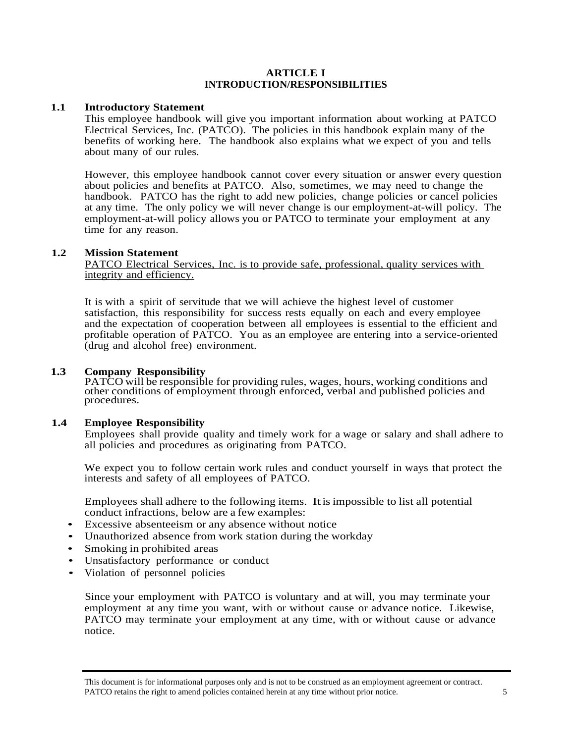#### **ARTICLE I INTRODUCTION/RESPONSIBILITIES**

#### **1.1 Introductory Statement**

This employee handbook will give you important information about working at PATCO Electrical Services, Inc. (PATCO). The policies in this handbook explain many of the benefits of working here. The handbook also explains what we expect of you and tells about many of our rules.

However, this employee handbook cannot cover every situation or answer every question about policies and benefits at PATCO. Also, sometimes, we may need to change the handbook. PATCO has the right to add new policies, change policies or cancel policies at any time. The only policy we will never change is our employment-at-will policy. The employment-at-will policy allows you or PATCO to terminate your employment at any time for any reason.

#### **1.2 Mission Statement**

PATCO Electrical Services, Inc. is to provide safe, professional, quality services with integrity and efficiency.

It is with a spirit of servitude that we will achieve the highest level of customer satisfaction, this responsibility for success rests equally on each and every employee and the expectation of cooperation between all employees is essential to the efficient and profitable operation of PATCO. You as an employee are entering into a service-oriented (drug and alcohol free) environment.

#### **1.3 Company Responsibility**

1.3 Company Responsibility<br>
PATCO will be responsible for providing rules, wages, hours, working conditions and<br>
other conditions of employment through enforced, verbal and published policies and procedures.

#### **1.4 Employee Responsibility**

Employees shall provide quality and timely work for a wage or salary and shall adhere to all policies and procedures as originating from PATCO.

We expect you to follow certain work rules and conduct yourself in ways that protect the interests and safety of all employees of PATCO.

Employees shall adhere to the following items. Itis impossible to list all potential conduct infractions, below are a few examples:

- Excessive absenteeism or any absence without notice
- Unauthorized absence from work station during the workday
- Smoking in prohibited areas
- Unsatisfactory performance or conduct
- Violation of personnel policies

Since your employment with PATCO is voluntary and at will, you may terminate your employment at any time you want, with or without cause or advance notice. Likewise, PATCO may terminate your employment at any time, with or without cause or advance notice.

This document is for informational purposes only and is not to be construed as an employment agreement or contract. PATCO retains the right to amend policies contained herein at any time without prior notice.  $\frac{5}{5}$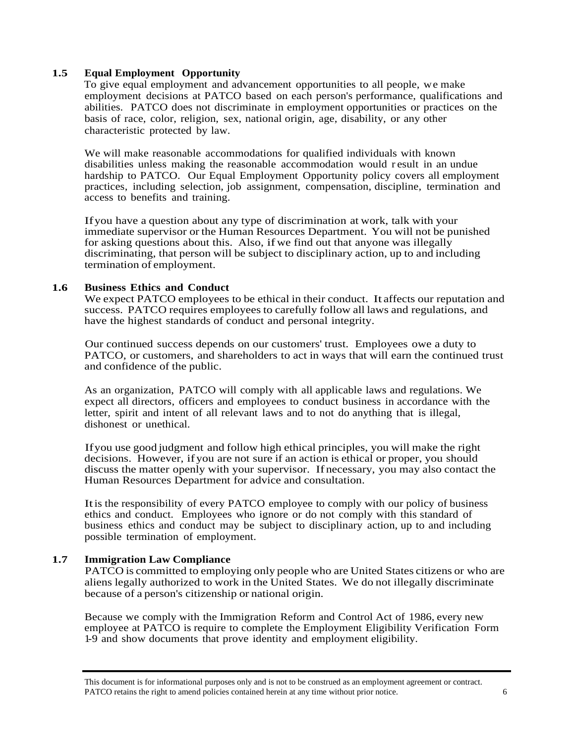#### **1.5 Equal Employment Opportunity**

To give equal employment and advancement opportunities to all people, we make employment decisions at PATCO based on each person's performance, qualifications and abilities. PATCO does not discriminate in employment opportunities or practices on the basis of race, color, religion, sex, national origin, age, disability, or any other characteristic protected by law.

We will make reasonable accommodations for qualified individuals with known disabilities unless making the reasonable accommodation would r esult in an undue hardship to PATCO. Our Equal Employment Opportunity policy covers all employment practices, including selection, job assignment, compensation, discipline, termination and access to benefits and training.

Ifyou have a question about any type of discrimination at work, talk with your immediate supervisor or the Human Resources Department. You will not be punished for asking questions about this. Also, if we find out that anyone was illegally discriminating, that person will be subject to disciplinary action, up to and including termination of employment.

#### **1.6 Business Ethics and Conduct**

We expect PATCO employees to be ethical in their conduct. It affects our reputation and success. PATCO requires employees to carefully follow all laws and regulations, and have the highest standards of conduct and personal integrity.

Our continued success depends on our customers' trust. Employees owe a duty to PATCO, or customers, and shareholders to act in ways that will earn the continued trust and confidence of the public.

As an organization, PATCO will comply with all applicable laws and regulations. We expect all directors, officers and employees to conduct business in accordance with the letter, spirit and intent of all relevant laws and to not do anything that is illegal, dishonest or unethical.

Ifyou use good judgment and follow high ethical principles, you will make the right decisions. However, ifyou are not sure if an action is ethical or proper, you should discuss the matter openly with your supervisor. If necessary, you may also contact the Human Resources Department for advice and consultation.

Itis the responsibility of every PATCO employee to comply with our policy of business ethics and conduct. Employees who ignore or do not comply with this standard of business ethics and conduct may be subject to disciplinary action, up to and including possible termination of employment.

#### **1.7 Immigration Law Compliance**

PATCO is committed to employing only people who are United States citizens or who are aliens legally authorized to work in the United States. We do not illegally discriminate because of a person's citizenship or national origin.

Because we comply with the Immigration Reform and Control Act of 1986, every new employee at PATCO is require to complete the Employment Eligibility Verification Form 1-9 and show documents that prove identity and employment eligibility.

This document is for informational purposes only and is not to be construed as an employment agreement or contract. PATCO retains the right to amend policies contained herein at any time without prior notice. 6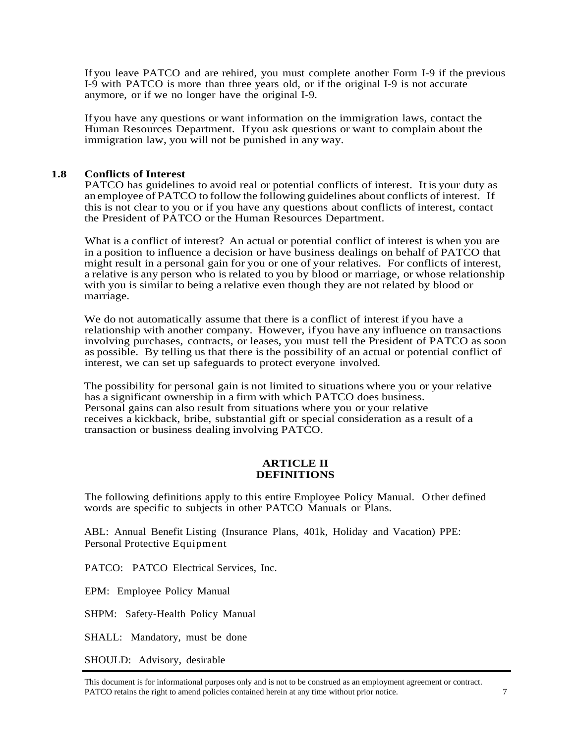If you leave PATCO and are rehired, you must complete another Form I-9 if the previous I-9 with PATCO is more than three years old, or if the original I-9 is not accurate anymore, or if we no longer have the original I-9.

If you have any questions or want information on the immigration laws, contact the Human Resources Department. If you ask questions or want to complain about the immigration law, you will not be punished in any way.

#### **1.8 Conflicts of Interest**

PATCO has guidelines to avoid real or potential conflicts of interest. Itis your duty as an employee of PATCO to follow the following guidelines about conflicts of interest. If this is not clear to you or if you have any questions about conflicts of interest, contact the President of PATCO or the Human Resources Department.

What is a conflict of interest? An actual or potential conflict of interest is when you are in a position to influence a decision or have business dealings on behalf of PATCO that might result in a personal gain for you or one of your relatives. For conflicts of interest, a relative is any person who is related to you by blood or marriage, or whose relationship with you is similar to being a relative even though they are not related by blood or marriage.

We do not automatically assume that there is a conflict of interest if you have a relationship with another company. However, ifyou have any influence on transactions involving purchases, contracts, or leases, you must tell the President of PATCO as soon as possible. By telling us that there is the possibility of an actual or potential conflict of interest, we can set up safeguards to protect everyone involved.

The possibility for personal gain is not limited to situations where you or your relative has a significant ownership in a firm with which PATCO does business. Personal gains can also result from situations where you or your relative receives a kickback, bribe, substantial gift or special consideration as a result of a transaction or business dealing involving PATCO.

#### **ARTICLE II DEFINITIONS**

The following definitions apply to this entire Employee Policy Manual. O ther defined words are specific to subjects in other PATCO Manuals or Plans.

ABL: Annual Benefit Listing (Insurance Plans, 401k, Holiday and Vacation) PPE: Personal Protective Equipment

PATCO: PATCO Electrical Services, Inc.

EPM: Employee Policy Manual

SHPM: Safety-Health Policy Manual

SHALL: Mandatory, must be done

SHOULD: Advisory, desirable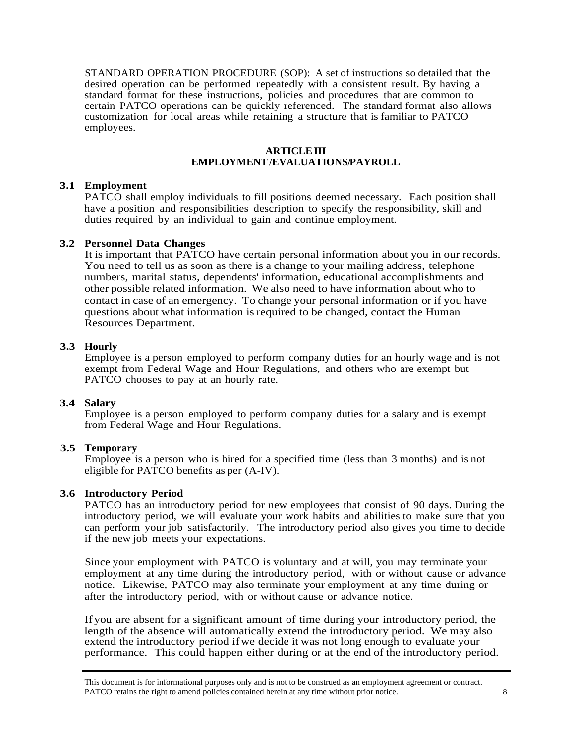STANDARD OPERATION PROCEDURE (SOP): A set of instructions so detailed that the desired operation can be performed repeatedly with a consistent result. By having a standard format for these instructions, policies and procedures that are common to certain PATCO operations can be quickly referenced. The standard format also allows customization for local areas while retaining a structure that is familiar to PATCO employees.

#### **ARTICLE III EMPLOYMENT /EVALUATIONS/PAYROLL**

## **3.1 Employment**

PATCO shall employ individuals to fill positions deemed necessary. Each position shall have a position and responsibilities description to specify the responsibility, skill and duties required by an individual to gain and continue employment.

## **3.2 Personnel Data Changes**

It is important that PATCO have certain personal information about you in our records. You need to tell us as soon as there is a change to your mailing address, telephone numbers, marital status, dependents' information, educational accomplishments and other possible related information. We also need to have information about who to contact in case of an emergency. To change your personal information or if you have questions about what information is required to be changed, contact the Human Resources Department.

## **3.3 Hourly**

Employee is a person employed to perform company duties for an hourly wage and is not exempt from Federal Wage and Hour Regulations, and others who are exempt but PATCO chooses to pay at an hourly rate.

#### **3.4 Salary**

Employee is a person employed to perform company duties for a salary and is exempt from Federal Wage and Hour Regulations.

## **3.5 Temporary**

Employee is a person who is hired for a specified time (less than 3 months) and is not eligible for PATCO benefits as per (A-IV).

## **3.6 Introductory Period**

PATCO has an introductory period for new employees that consist of 90 days. During the introductory period, we will evaluate your work habits and abilities to make sure that you can perform your job satisfactorily. The introductory period also gives you time to decide if the new job meets your expectations.

Since your employment with PATCO is voluntary and at will, you may terminate your employment at any time during the introductory period, with or without cause or advance notice. Likewise, PATCO may also terminate your employment at any time during or after the introductory period, with or without cause or advance notice.

Ifyou are absent for a significant amount of time during your introductory period, the length of the absence will automatically extend the introductory period. We may also extend the introductory period ifwe decide it was not long enough to evaluate your performance. This could happen either during or at the end of the introductory period.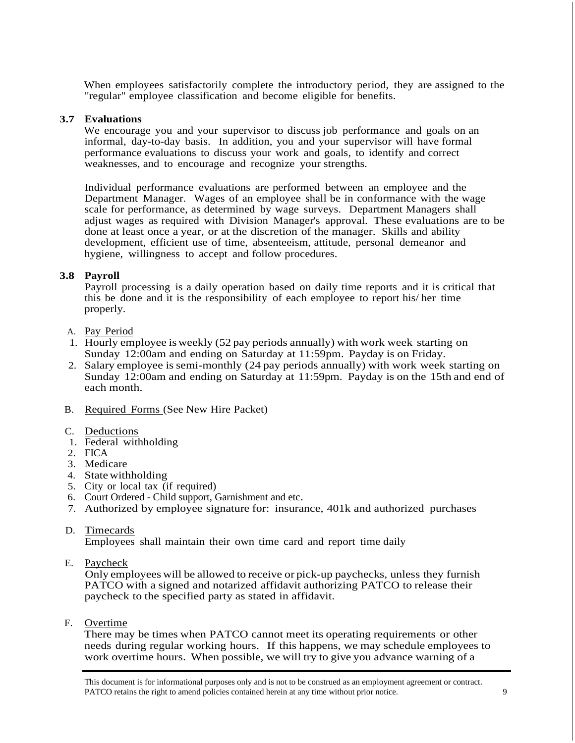When employees satisfactorily complete the introductory period, they are assigned to the "regular" employee classification and become eligible for benefits.

#### **3.7 Evaluations**

We encourage you and your supervisor to discuss job performance and goals on an informal, day-to-day basis. In addition, you and your supervisor will have formal performance evaluations to discuss your work and goals, to identify and correct weaknesses, and to encourage and recognize your strengths.

Individual performance evaluations are performed between an employee and the Department Manager. Wages of an employee shall be in conformance with the wage scale for performance, as determined by wage surveys. Department Managers shall adjust wages as required with Division Manager's approval. These evaluations are to be done at least once a year, or at the discretion of the manager. Skills and ability development, efficient use of time, absenteeism, attitude, personal demeanor and hygiene, willingness to accept and follow procedures.

#### **3.8 Payroll**

Payroll processing is a daily operation based on daily time reports and it is critical that this be done and it is the responsibility of each employee to report his/ her time properly.

- A. Pay Period
- 1. Hourly employee is weekly (52 pay periods annually) with work week starting on Sunday 12:00am and ending on Saturday at 11:59pm. Payday is on Friday.
- 2. Salary employee is semi-monthly (24 pay periods annually) with work week starting on Sunday 12:00am and ending on Saturday at 11:59pm. Payday is on the 15th and end of each month.
- B. Required Forms (See New Hire Packet)
- C. Deductions
- 1. Federal withholding
- 2. FICA
- 3. Medicare
- 4. State withholding
- 5. City or local tax (if required)
- 6. Court Ordered Child support, Garnishment and etc.
- 7. Authorized by employee signature for: insurance, 401k and authorized purchases

#### D. Timecards

Employees shall maintain their own time card and report time daily

E. Paycheck

Only employees will be allowed to receive or pick-up paychecks, unless they furnish PATCO with a signed and notarized affidavit authorizing PATCO to release their paycheck to the specified party as stated in affidavit.

F. Overtime

There may be times when PATCO cannot meet its operating requirements or other needs during regular working hours. If this happens, we may schedule employees to work overtime hours. When possible, we will try to give you advance warning of a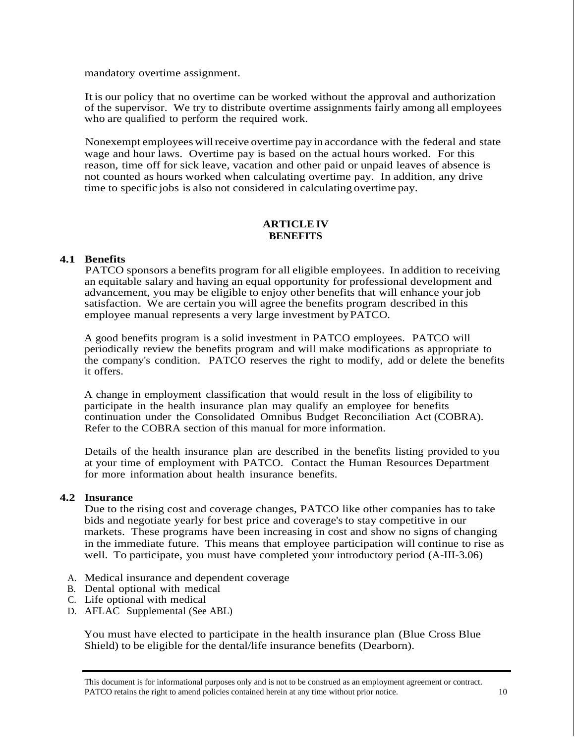mandatory overtime assignment.

It is our policy that no overtime can be worked without the approval and authorization of the supervisor. We try to distribute overtime assignments fairly among all employees who are qualified to perform the required work.

Nonexempt employees will receive overtime pay in accordance with the federal and state wage and hour laws. Overtime pay is based on the actual hours worked. For this reason, time off for sick leave, vacation and other paid or unpaid leaves of absence is not counted as hours worked when calculating overtime pay. In addition, any drive time to specific jobs is also not considered in calculating overtime pay.

#### **ARTICLE IV BENEFITS**

## **4.1 Benefits**

PATCO sponsors a benefits program for all eligible employees. In addition to receiving an equitable salary and having an equal opportunity for professional development and advancement, you may be eligible to enjoy other benefits that will enhance your job satisfaction. We are certain you will agree the benefits program described in this employee manual represents a very large investment by PATCO.

A good benefits program is a solid investment in PATCO employees. PATCO will periodically review the benefits program and will make modifications as appropriate to the company's condition. PATCO reserves the right to modify, add or delete the benefits it offers.

A change in employment classification that would result in the loss of eligibility to participate in the health insurance plan may qualify an employee for benefits continuation under the Consolidated Omnibus Budget Reconciliation Act (COBRA). Refer to the COBRA section of this manual for more information.

Details of the health insurance plan are described in the benefits listing provided to you at your time of employment with PATCO. Contact the Human Resources Department for more information about health insurance benefits.

#### **4.2 Insurance**

Due to the rising cost and coverage changes, PATCO like other companies has to take bids and negotiate yearly for best price and coverage's to stay competitive in our markets. These programs have been increasing in cost and show no signs of changing in the immediate future. This means that employee participation will continue to rise as well. To participate, you must have completed your introductory period (A-III-3.06)

- A. Medical insurance and dependent coverage
- B. Dental optional with medical
- C. Life optional with medical
- D. AFLAC Supplemental (See ABL)

You must have elected to participate in the health insurance plan (Blue Cross Blue Shield) to be eligible for the dental/life insurance benefits (Dearborn).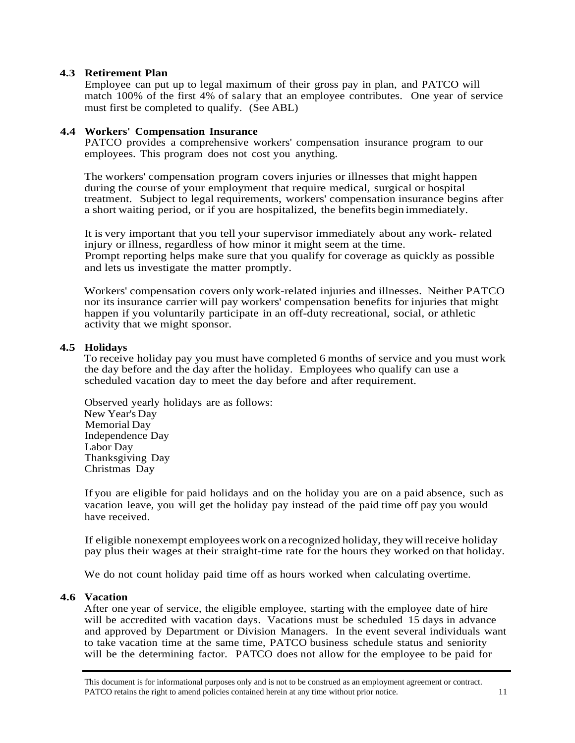#### **4.3 Retirement Plan**

Employee can put up to legal maximum of their gross pay in plan, and PATCO will match 100% of the first 4% of salary that an employee contributes. One year of service must first be completed to qualify. (See ABL)

#### **4.4 Workers' Compensation Insurance**

PATCO provides a comprehensive workers' compensation insurance program to our employees. This program does not cost you anything.

The workers' compensation program covers injuries or illnesses that might happen during the course of your employment that require medical, surgical or hospital treatment. Subject to legal requirements, workers' compensation insurance begins after a short waiting period, or if you are hospitalized, the benefits begin immediately.

It is very important that you tell your supervisor immediately about any work- related injury or illness, regardless of how minor it might seem at the time. Prompt reporting helps make sure that you qualify for coverage as quickly as possible and lets us investigate the matter promptly.

Workers' compensation covers only work-related injuries and illnesses. Neither PATCO nor its insurance carrier will pay workers' compensation benefits for injuries that might happen if you voluntarily participate in an off-duty recreational, social, or athletic activity that we might sponsor.

#### **4.5 Holidays**

To receive holiday pay you must have completed 6 months of service and you must work the day before and the day after the holiday. Employees who qualify can use a scheduled vacation day to meet the day before and after requirement.

Observed yearly holidays are as follows: New Year's Day Memorial Day Independence Day Labor Day Thanksgiving Day Christmas Day

If you are eligible for paid holidays and on the holiday you are on a paid absence, such as vacation leave, you will get the holiday pay instead of the paid time off pay you would have received.

If eligible nonexempt employees work on a recognized holiday, they will receive holiday pay plus their wages at their straight-time rate for the hours they worked on that holiday.

We do not count holiday paid time off as hours worked when calculating overtime.

#### **4.6 Vacation**

After one year of service, the eligible employee, starting with the employee date of hire will be accredited with vacation days. Vacations must be scheduled 15 days in advance and approved by Department or Division Managers. In the event several individuals want to take vacation time at the same time, PATCO business schedule status and seniority will be the determining factor. PATCO does not allow for the employee to be paid for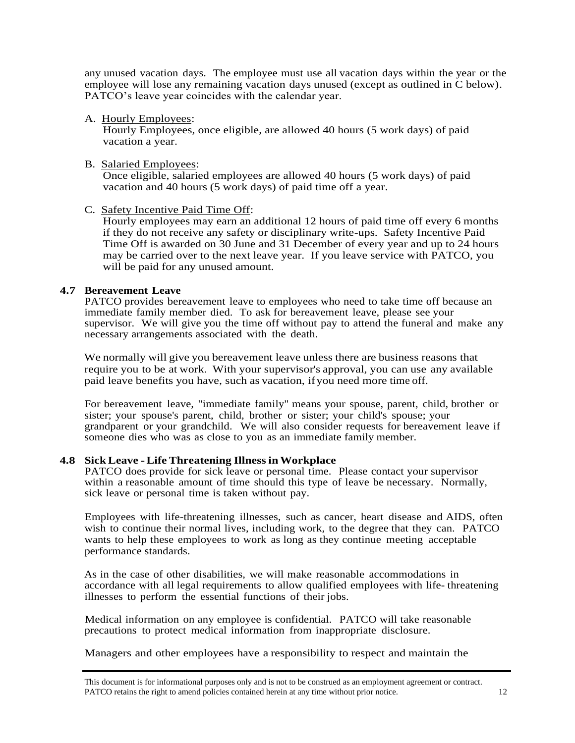any unused vacation days. The employee must use all vacation days within the year or the employee will lose any remaining vacation days unused (except as outlined in C below). PATCO's leave year coincides with the calendar year.

A. Hourly Employees:

Hourly Employees, once eligible, are allowed 40 hours (5 work days) of paid vacation a year.

B. Salaried Employees:

Once eligible, salaried employees are allowed 40 hours (5 work days) of paid vacation and 40 hours (5 work days) of paid time off a year.

#### C. Safety Incentive Paid Time Off:

Hourly employees may earn an additional 12 hours of paid time off every 6 months if they do not receive any safety or disciplinary write-ups. Safety Incentive Paid Time Off is awarded on 30 June and 31 December of every year and up to 24 hours may be carried over to the next leave year. If you leave service with PATCO, you will be paid for any unused amount.

#### **4.7 Bereavement Leave**

PATCO provides bereavement leave to employees who need to take time off because an immediate family member died. To ask for bereavement leave, please see your supervisor. We will give you the time off without pay to attend the funeral and make any necessary arrangements associated with the death.

We normally will give you bereavement leave unless there are business reasons that require you to be at work. With your supervisor's approval, you can use any available paid leave benefits you have, such as vacation, ifyou need more time off.

For bereavement leave, "immediate family" means your spouse, parent, child, brother or sister; your spouse's parent, child, brother or sister; your child's spouse; your grandparent or your grandchild. We will also consider requests for bereavement leave if someone dies who was as close to you as an immediate family member.

#### **4.8 Sick Leave - Life Threatening Illness in Workplace**

PATCO does provide for sick leave or personal time. Please contact your supervisor within a reasonable amount of time should this type of leave be necessary. Normally, sick leave or personal time is taken without pay.

Employees with life-threatening illnesses, such as cancer, heart disease and AIDS, often wish to continue their normal lives, including work, to the degree that they can. PATCO wants to help these employees to work as long as they continue meeting acceptable performance standards.

As in the case of other disabilities, we will make reasonable accommodations in accordance with all legal requirements to allow qualified employees with life- threatening illnesses to perform the essential functions of their jobs.

Medical information on any employee is confidential. PATCO will take reasonable precautions to protect medical information from inappropriate disclosure.

Managers and other employees have a responsibility to respect and maintain the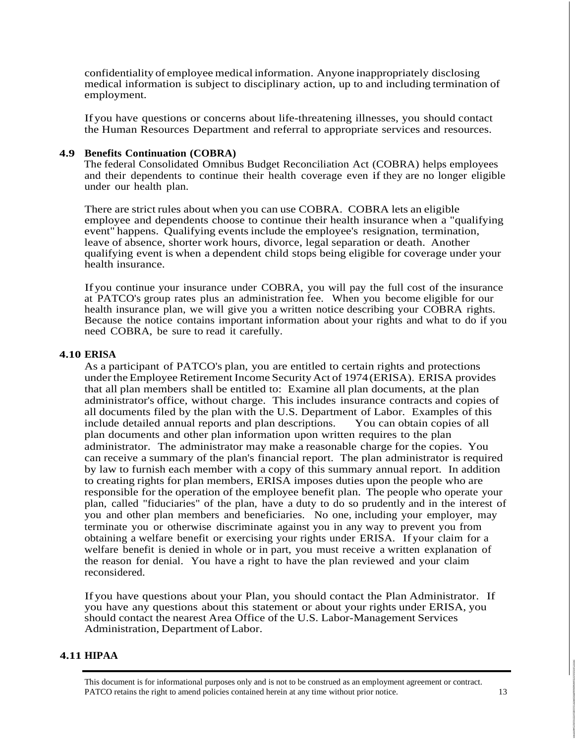confidentiality of employee medical information. Anyone inappropriately disclosing medical information is subject to disciplinary action, up to and including termination of employment.

Ifyou have questions or concerns about life-threatening illnesses, you should contact the Human Resources Department and referral to appropriate services and resources.

#### **4.9 Benefits Continuation (COBRA)**

The federal Consolidated Omnibus Budget Reconciliation Act (COBRA) helps employees and their dependents to continue their health coverage even if they are no longer eligible under our health plan.

There are strict rules about when you can use COBRA. COBRA lets an eligible employee and dependents choose to continue their health insurance when a "qualifying event" happens. Qualifying events include the employee's resignation, termination, leave of absence, shorter work hours, divorce, legal separation or death. Another qualifying event is when a dependent child stops being eligible for coverage under your health insurance.

If you continue your insurance under COBRA, you will pay the full cost of the insurance at PATCO's group rates plus an administration fee. When you become eligible for our health insurance plan, we will give you a written notice describing your COBRA rights. Because the notice contains important information about your rights and what to do if you need COBRA, be sure to read it carefully.

#### **4.10 ERISA**

As a participant of PATCO's plan, you are entitled to certain rights and protections under the Employee Retirement Income Security Act of 1974 (ERISA). ERISA provides that all plan members shall be entitled to: Examine all plan documents, at the plan administrator's office, without charge. This includes insurance contracts and copies of all documents filed by the plan with the U.S. Department of Labor. Examples of this include detailed annual reports and plan descriptions. You can obtain copies of all plan documents and other plan information upon written requires to the plan administrator. The administrator may make a reasonable charge for the copies. You can receive a summary of the plan's financial report. The plan administrator is required by law to furnish each member with a copy of this summary annual report. In addition to creating rights for plan members, ERISA imposes duties upon the people who are responsible for the operation of the employee benefit plan. The people who operate your plan, called "fiduciaries" of the plan, have a duty to do so prudently and in the interest of you and other plan members and beneficiaries. No one, including your employer, may terminate you or otherwise discriminate against you in any way to prevent you from obtaining a welfare benefit or exercising your rights under ERISA. If your claim for a welfare benefit is denied in whole or in part, you must receive a written explanation of the reason for denial. You have a right to have the plan reviewed and your claim reconsidered.

If you have questions about your Plan, you should contact the Plan Administrator. If you have any questions about this statement or about your rights under ERISA, you should contact the nearest Area Office of the U.S. Labor-Management Services Administration, Department of Labor.

#### **4.11 HIPAA**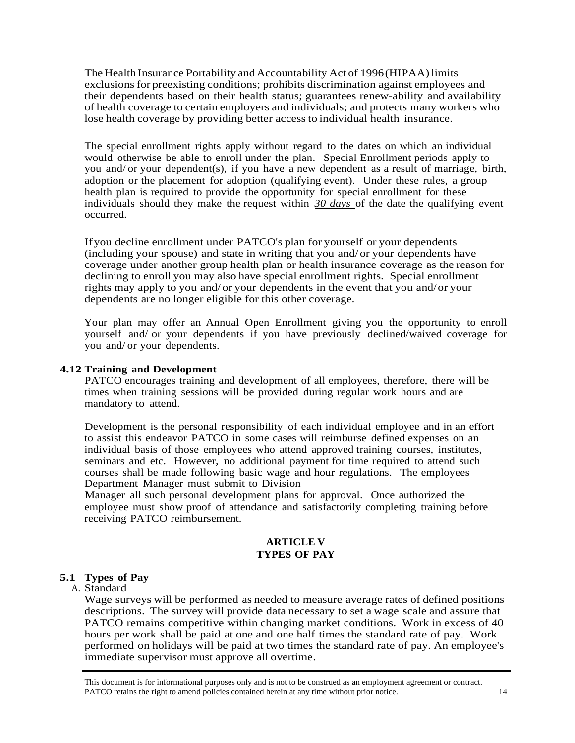The Health Insurance Portability and Accountability Act of 1996 (HIPAA) limits exclusions for preexisting conditions; prohibits discrimination against employees and their dependents based on their health status; guarantees renew-ability and availability of health coverage to certain employers and individuals; and protects many workers who lose health coverage by providing better access to individual health insurance.

The special enrollment rights apply without regard to the dates on which an individual would otherwise be able to enroll under the plan. Special Enrollment periods apply to you and/ or your dependent(s), if you have a new dependent as a result of marriage, birth, adoption or the placement for adoption (qualifying event). Under these rules, a group health plan is required to provide the opportunity for special enrollment for these individuals should they make the request within *30 days* of the date the qualifying event occurred.

Ifyou decline enrollment under PATCO's plan for yourself or your dependents (including your spouse) and state in writing that you and/ or your dependents have coverage under another group health plan or health insurance coverage as the reason for declining to enroll you may also have special enrollment rights. Special enrollment rights may apply to you and/ or your dependents in the event that you and/ or your dependents are no longer eligible for this other coverage.

Your plan may offer an Annual Open Enrollment giving you the opportunity to enroll yourself and/ or your dependents if you have previously declined/waived coverage for you and/ or your dependents.

#### **4.12 Training and Development**

PATCO encourages training and development of all employees, therefore, there will be times when training sessions will be provided during regular work hours and are mandatory to attend.

Development is the personal responsibility of each individual employee and in an effort to assist this endeavor PATCO in some cases will reimburse defined expenses on an individual basis of those employees who attend approved training courses, institutes, seminars and etc. However, no additional payment for time required to attend such courses shall be made following basic wage and hour regulations. The employees Department Manager must submit to Division

Manager all such personal development plans for approval. Once authorized the employee must show proof of attendance and satisfactorily completing training before receiving PATCO reimbursement.

#### **ARTICLE V TYPES OF PAY**

## **5.1 Types of Pay**

#### A. Standard

Wage surveys will be performed as needed to measure average rates of defined positions descriptions. The survey will provide data necessary to set a wage scale and assure that PATCO remains competitive within changing market conditions. Work in excess of 40 hours per work shall be paid at one and one half times the standard rate of pay. Work performed on holidays will be paid at two times the standard rate of pay. An employee's immediate supervisor must approve all overtime.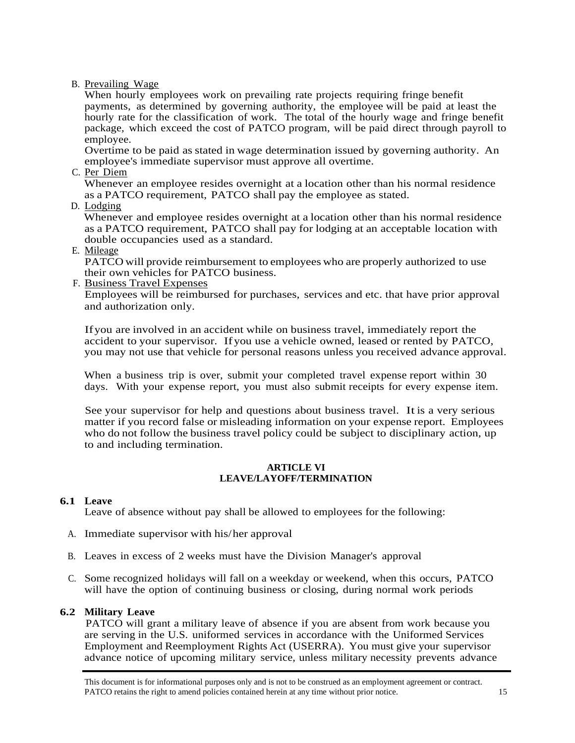B. Prevailing Wage

When hourly employees work on prevailing rate projects requiring fringe benefit payments, as determined by governing authority, the employee will be paid at least the hourly rate for the classification of work. The total of the hourly wage and fringe benefit package, which exceed the cost of PATCO program, will be paid direct through payroll to employee.

Overtime to be paid as stated in wage determination issued by governing authority. An employee's immediate supervisor must approve all overtime.

C. Per Diem

Whenever an employee resides overnight at a location other than his normal residence as a PATCO requirement, PATCO shall pay the employee as stated.

D. Lodging

Whenever and employee resides overnight at a location other than his normal residence as a PATCO requirement, PATCO shall pay for lodging at an acceptable location with double occupancies used as a standard.

E. Mileage

PATCO will provide reimbursement to employees who are properly authorized to use their own vehicles for PATCO business.

F. Business Travel Expenses

Employees will be reimbursed for purchases, services and etc. that have prior approval and authorization only.

Ifyou are involved in an accident while on business travel, immediately report the accident to your supervisor. Ifyou use a vehicle owned, leased or rented by PATCO, you may not use that vehicle for personal reasons unless you received advance approval.

When a business trip is over, submit your completed travel expense report within 30 days. With your expense report, you must also submit receipts for every expense item.

See your supervisor for help and questions about business travel. It is a very serious matter if you record false or misleading information on your expense report. Employees who do not follow the business travel policy could be subject to disciplinary action, up to and including termination.

#### **ARTICLE VI LEAVE/LAYOFF/TERMINATION**

## **6.1 Leave**

Leave of absence without pay shall be allowed to employees for the following:

- A. Immediate supervisor with his/ her approval
- B. Leaves in excess of 2 weeks must have the Division Manager's approval
- C. Some recognized holidays will fall on a weekday or weekend, when this occurs, PATCO will have the option of continuing business or closing, during normal work periods

## **6.2 Military Leave**

PATCO will grant a military leave of absence if you are absent from work because you are serving in the U.S. uniformed services in accordance with the Uniformed Services Employment and Reemployment Rights Act (USERRA). You must give your supervisor advance notice of upcoming military service, unless military necessity prevents advance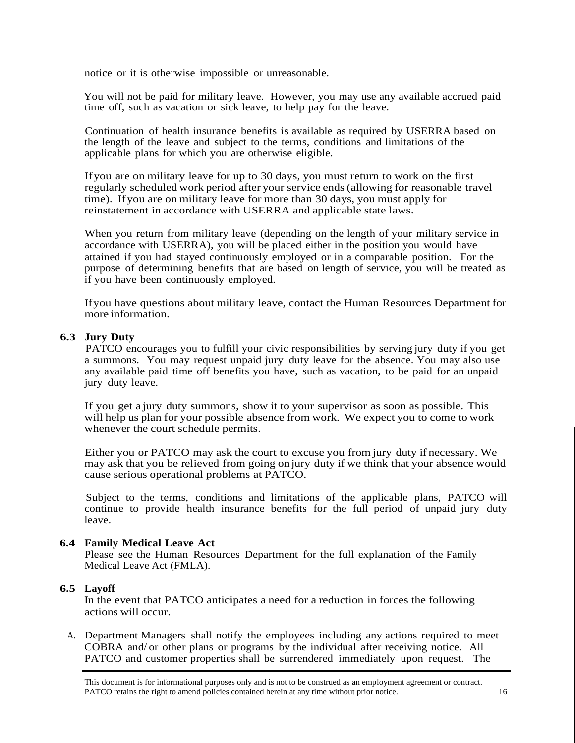notice or it is otherwise impossible or unreasonable.

You will not be paid for military leave. However, you may use any available accrued paid time off, such as vacation or sick leave, to help pay for the leave.

Continuation of health insurance benefits is available as required by USERRA based on the length of the leave and subject to the terms, conditions and limitations of the applicable plans for which you are otherwise eligible.

If you are on military leave for up to 30 days, you must return to work on the first regularly scheduled work period after your service ends (allowing for reasonable travel time). Ifyou are on military leave for more than 30 days, you must apply for reinstatement in accordance with USERRA and applicable state laws.

When you return from military leave (depending on the length of your military service in accordance with USERRA), you will be placed either in the position you would have attained if you had stayed continuously employed or in a comparable position. For the purpose of determining benefits that are based on length of service, you will be treated as if you have been continuously employed.

Ifyou have questions about military leave, contact the Human Resources Department for more information.

#### **6.3 Jury Duty**

PATCO encourages you to fulfill your civic responsibilities by serving jury duty if you get a summons. You may request unpaid jury duty leave for the absence. You may also use any available paid time off benefits you have, such as vacation, to be paid for an unpaid jury duty leave.

If you get a jury duty summons, show it to your supervisor as soon as possible. This will help us plan for your possible absence from work. We expect you to come to work whenever the court schedule permits.

Either you or PATCO may ask the court to excuse you from jury duty if necessary. We may ask that you be relieved from going on jury duty if we think that your absence would cause serious operational problems at PATCO.

Subject to the terms, conditions and limitations of the applicable plans, PATCO will continue to provide health insurance benefits for the full period of unpaid jury duty leave.

#### **6.4 Family Medical Leave Act**

Please see the Human Resources Department for the full explanation of the Family Medical Leave Act (FMLA).

#### **6.5 Layoff**

In the event that PATCO anticipates a need for a reduction in forces the following actions will occur.

A. Department Managers shall notify the employees including any actions required to meet COBRA and/ or other plans or programs by the individual after receiving notice. All PATCO and customer properties shall be surrendered immediately upon request. The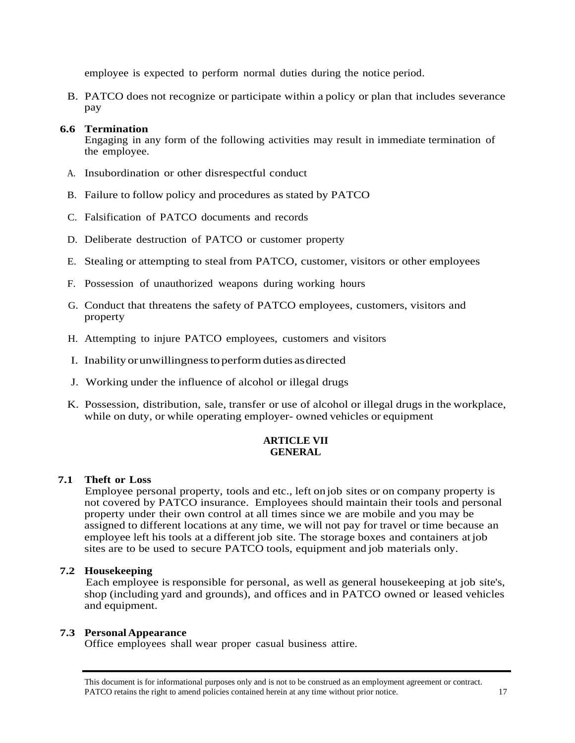employee is expected to perform normal duties during the notice period.

B. PATCO does not recognize or participate within a policy or plan that includes severance pay

## **6.6 Termination**

Engaging in any form of the following activities may result in immediate termination of the employee.

- A. Insubordination or other disrespectful conduct
- B. Failure to follow policy and procedures as stated by PATCO
- C. Falsification of PATCO documents and records
- D. Deliberate destruction of PATCO or customer property
- E. Stealing or attempting to steal from PATCO, customer, visitors or other employees
- F. Possession of unauthorized weapons during working hours
- G. Conduct that threatens the safety of PATCO employees, customers, visitors and property
- H. Attempting to injure PATCO employees, customers and visitors
- I. Inability or unwillingness to perform duties as directed
- J. Working under the influence of alcohol or illegal drugs
- K. Possession, distribution, sale, transfer or use of alcohol or illegal drugs in the workplace, while on duty, or while operating employer- owned vehicles or equipment

## **ARTICLE VII GENERAL**

## **7.1 Theft or Loss**

Employee personal property, tools and etc., left on job sites or on company property is not covered by PATCO insurance. Employees should maintain their tools and personal property under their own control at all times since we are mobile and you may be assigned to different locations at any time, we will not pay for travel or time because an employee left his tools at a different job site. The storage boxes and containers at job sites are to be used to secure PATCO tools, equipment and job materials only.

## **7.2 Housekeeping**

Each employee is responsible for personal, as well as general housekeeping at job site's, shop (including yard and grounds), and offices and in PATCO owned or leased vehicles and equipment.

## **7.3 Personal Appearance**

Office employees shall wear proper casual business attire.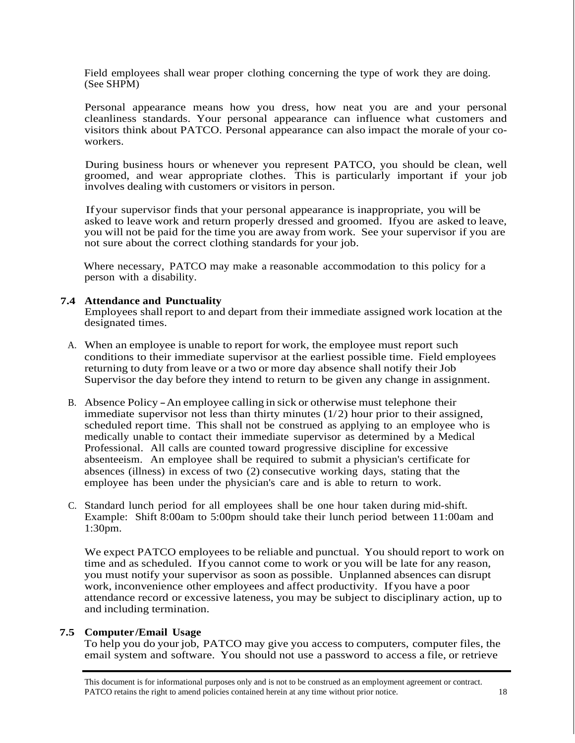Field employees shall wear proper clothing concerning the type of work they are doing. (See SHPM)

Personal appearance means how you dress, how neat you are and your personal cleanliness standards. Your personal appearance can influence what customers and visitors think about PATCO. Personal appearance can also impact the morale of your coworkers.

During business hours or whenever you represent PATCO, you should be clean, well groomed, and wear appropriate clothes. This is particularly important if your job involves dealing with customers or visitors in person.

Ifyour supervisor finds that your personal appearance is inappropriate, you will be asked to leave work and return properly dressed and groomed. Ifyou are asked to leave, you will not be paid for the time you are away from work. See your supervisor if you are not sure about the correct clothing standards for your job.

Where necessary, PATCO may make a reasonable accommodation to this policy for a person with a disability.

#### **7.4 Attendance and Punctuality**

Employees shall report to and depart from their immediate assigned work location at the designated times.

- A. When an employee is unable to report for work, the employee must report such conditions to their immediate supervisor at the earliest possible time. Field employees returning to duty from leave or a two or more day absence shall notify their Job Supervisor the day before they intend to return to be given any change in assignment.
- B. Absence Policy An employee calling in sick or otherwise must telephone their immediate supervisor not less than thirty minutes  $(1/2)$  hour prior to their assigned, scheduled report time. This shall not be construed as applying to an employee who is medically unable to contact their immediate supervisor as determined by a Medical Professional. All calls are counted toward progressive discipline for excessive absenteeism. An employee shall be required to submit a physician's certificate for absences (illness) in excess of two (2) consecutive working days, stating that the employee has been under the physician's care and is able to return to work.
- C. Standard lunch period for all employees shall be one hour taken during mid-shift. Example: Shift 8:00am to 5:00pm should take their lunch period between 11:00am and 1:30pm.

We expect PATCO employees to be reliable and punctual. You should report to work on time and as scheduled. Ifyou cannot come to work or you will be late for any reason, you must notify your supervisor as soon as possible. Unplanned absences can disrupt work, inconvenience other employees and affect productivity. Ifyou have a poor attendance record or excessive lateness, you may be subject to disciplinary action, up to and including termination.

## **7.5 Computer/Email Usage**

To help you do your job, PATCO may give you access to computers, computer files, the email system and software. You should not use a password to access a file, or retrieve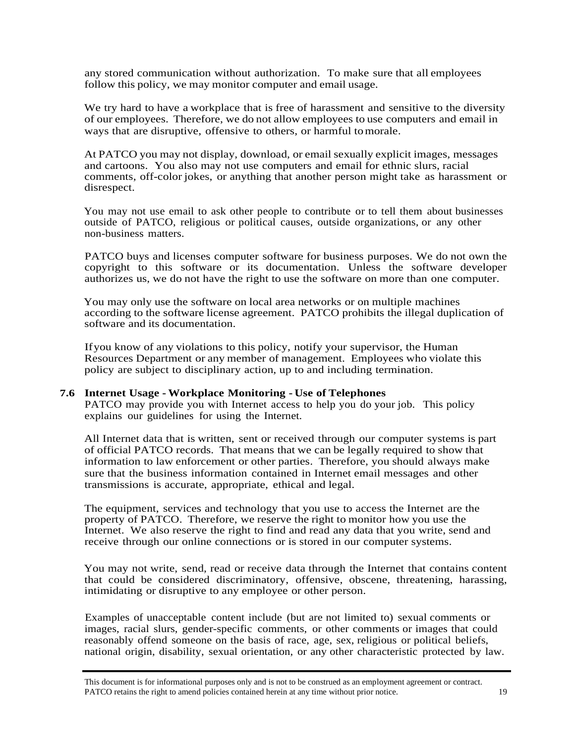any stored communication without authorization. To make sure that all employees follow this policy, we may monitor computer and email usage.

We try hard to have a workplace that is free of harassment and sensitive to the diversity of our employees. Therefore, we do not allow employees to use computers and email in ways that are disruptive, offensive to others, or harmful to morale.

At PATCO you may not display, download, or email sexually explicit images, messages and cartoons. You also may not use computers and email for ethnic slurs, racial comments, off-color jokes, or anything that another person might take as harassment or disrespect.

You may not use email to ask other people to contribute or to tell them about businesses outside of PATCO, religious or political causes, outside organizations, or any other non-business matters.

PATCO buys and licenses computer software for business purposes. We do not own the copyright to this software or its documentation. Unless the software developer authorizes us, we do not have the right to use the software on more than one computer.

You may only use the software on local area networks or on multiple machines according to the software license agreement. PATCO prohibits the illegal duplication of software and its documentation.

Ifyou know of any violations to this policy, notify your supervisor, the Human Resources Department or any member of management. Employees who violate this policy are subject to disciplinary action, up to and including termination.

#### **7.6 Internet Usage - Workplace Monitoring - Use of Telephones**

PATCO may provide you with Internet access to help you do your job. This policy explains our guidelines for using the Internet.

All Internet data that is written, sent or received through our computer systems is part of official PATCO records. That means that we can be legally required to show that information to law enforcement or other parties. Therefore, you should always make sure that the business information contained in Internet email messages and other transmissions is accurate, appropriate, ethical and legal.

The equipment, services and technology that you use to access the Internet are the property of PATCO. Therefore, we reserve the right to monitor how you use the Internet. We also reserve the right to find and read any data that you write, send and receive through our online connections or is stored in our computer systems.

You may not write, send, read or receive data through the Internet that contains content that could be considered discriminatory, offensive, obscene, threatening, harassing, intimidating or disruptive to any employee or other person.

Examples of unacceptable content include (but are not limited to) sexual comments or images, racial slurs, gender-specific comments, or other comments or images that could reasonably offend someone on the basis of race, age, sex, religious or political beliefs, national origin, disability, sexual orientation, or any other characteristic protected by law.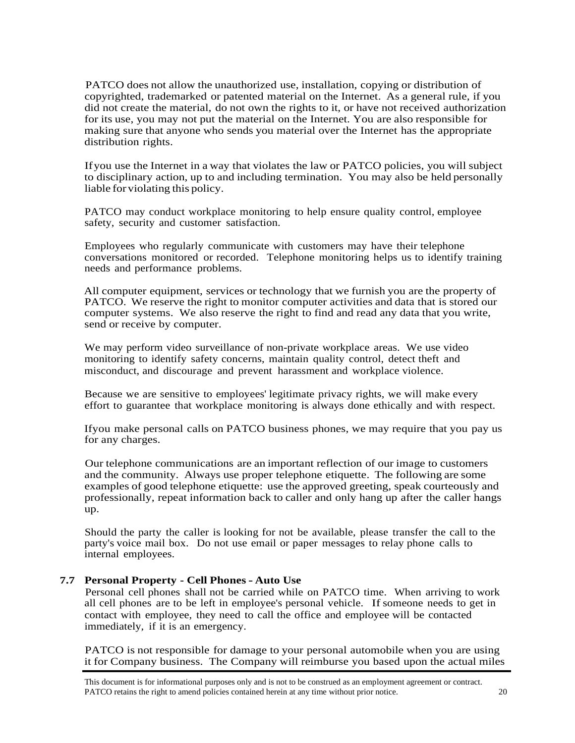PATCO does not allow the unauthorized use, installation, copying or distribution of copyrighted, trademarked or patented material on the Internet. As a general rule, if you did not create the material, do not own the rights to it, or have not received authorization for its use, you may not put the material on the Internet. You are also responsible for making sure that anyone who sends you material over the Internet has the appropriate distribution rights.

Ifyou use the Internet in a way that violates the law or PATCO policies, you will subject to disciplinary action, up to and including termination. You may also be held personally liable for violating this policy.

PATCO may conduct workplace monitoring to help ensure quality control, employee safety, security and customer satisfaction.

Employees who regularly communicate with customers may have their telephone conversations monitored or recorded. Telephone monitoring helps us to identify training needs and performance problems.

All computer equipment, services or technology that we furnish you are the property of PATCO. We reserve the right to monitor computer activities and data that is stored our computer systems. We also reserve the right to find and read any data that you write, send or receive by computer.

We may perform video surveillance of non-private workplace areas. We use video monitoring to identify safety concerns, maintain quality control, detect theft and misconduct, and discourage and prevent harassment and workplace violence.

Because we are sensitive to employees' legitimate privacy rights, we will make every effort to guarantee that workplace monitoring is always done ethically and with respect.

Ifyou make personal calls on PATCO business phones, we may require that you pay us for any charges.

Our telephone communications are an important reflection of our image to customers and the community. Always use proper telephone etiquette. The following are some examples of good telephone etiquette: use the approved greeting, speak courteously and professionally, repeat information back to caller and only hang up after the caller hangs up.

Should the party the caller is looking for not be available, please transfer the call to the party's voice mail box. Do not use email or paper messages to relay phone calls to internal employees.

#### **7.7 Personal Property - Cell Phones - Auto Use**

Personal cell phones shall not be carried while on PATCO time. When arriving to work all cell phones are to be left in employee's personal vehicle. If someone needs to get in contact with employee, they need to call the office and employee will be contacted immediately, if it is an emergency.

PATCO is not responsible for damage to your personal automobile when you are using it for Company business. The Company will reimburse you based upon the actual miles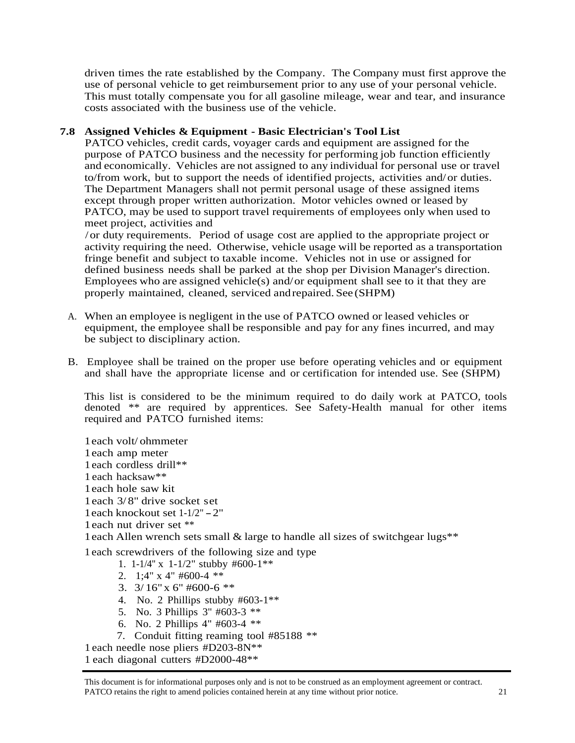driven times the rate established by the Company. The Company must first approve the use of personal vehicle to get reimbursement prior to any use of your personal vehicle. This must totally compensate you for all gasoline mileage, wear and tear, and insurance costs associated with the business use of the vehicle.

## **7.8 Assigned Vehicles & Equipment - Basic Electrician's Tool List**

PATCO vehicles, credit cards, voyager cards and equipment are assigned for the purpose of PATCO business and the necessity for performing job function efficiently and economically. Vehicles are not assigned to any individual for personal use or travel to/from work, but to support the needs of identified projects, activities and/or duties. The Department Managers shall not permit personal usage of these assigned items except through proper written authorization. Motor vehicles owned or leased by PATCO, may be used to support travel requirements of employees only when used to meet project, activities and

/or duty requirements. Period of usage cost are applied to the appropriate project or activity requiring the need. Otherwise, vehicle usage will be reported as a transportation fringe benefit and subject to taxable income. Vehicles not in use or assigned for defined business needs shall be parked at the shop per Division Manager's direction. Employees who are assigned vehicle(s) and/or equipment shall see to it that they are properly maintained, cleaned, serviced andrepaired. See (SHPM)

- A. When an employee is negligent in the use of PATCO owned or leased vehicles or equipment, the employee shall be responsible and pay for any fines incurred, and may be subject to disciplinary action.
- B. Employee shall be trained on the proper use before operating vehicles and or equipment and shall have the appropriate license and or certification for intended use. See (SHPM)

This list is considered to be the minimum required to do daily work at PATCO, tools denoted \*\* are required by apprentices. See Safety-Health manual for other items required and PATCO furnished items:

1each volt/ ohmmeter 1each amp meter 1each cordless drill\*\* 1 each hacksaw\*\* 1each hole saw kit 1each 3/ 8" drive socket set 1each knockout set 1-1/2" -2" 1each nut driver set \*\* 1each Allen wrench sets small & large to handle all sizes of switchgear lugs\*\* 1 each screwdrivers of the following size and type

- 1. 1-1/4'' x 1-1/2" stubby #600-1\*\*
- 2. 1;4" x 4" #600-4 \*\*
- 3.  $3/16$ " x 6" #600-6 \*\*
- 4. No. 2 Phillips stubby #603-1\*\*
- 5. No. 3 Phillips 3" #603-3 \*\*
- 6. No. 2 Phillips 4" #603-4 \*\*
- 7. Conduit fitting reaming tool #85188 \*\*

1 each needle nose pliers #D203-8N\*\*

1 each diagonal cutters #D2000-48\*\*

This document is for informational purposes only and is not to be construed as an employment agreement or contract. PATCO retains the right to amend policies contained herein at any time without prior notice. 21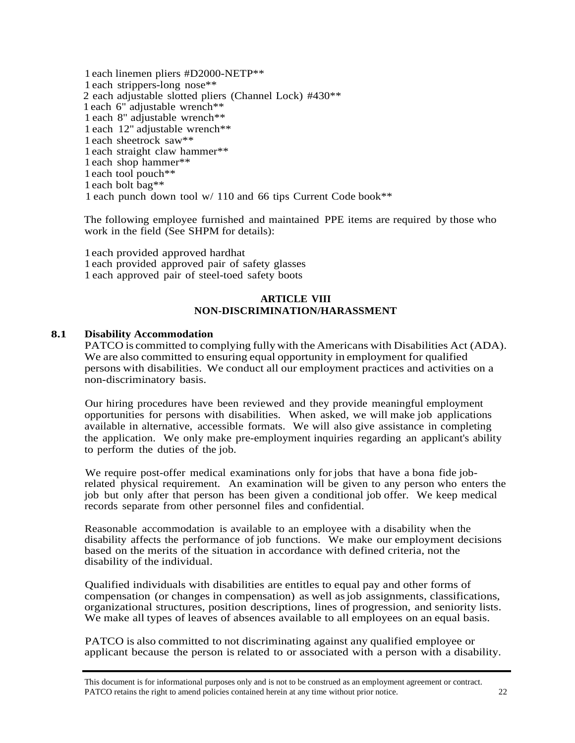each linemen pliers #D2000-NETP\*\* each strippers-long nose\*\* each adjustable slotted pliers (Channel Lock) #430\*\* each 6" adjustable wrench\*\* each 8" adjustable wrench\*\* each 12" adjustable wrench\*\* each sheetrock saw\*\* each straight claw hammer\*\* each shop hammer\*\* each tool pouch\*\* each bolt bag\*\* each punch down tool w/ 110 and 66 tips Current Code book\*\*

The following employee furnished and maintained PPE items are required by those who work in the field (See SHPM for details):

1each provided approved hardhat 1 each provided approved pair of safety glasses 1 each approved pair of steel-toed safety boots

#### **ARTICLE VIII NON-DISCRIMINATION/HARASSMENT**

#### **8.1 Disability Accommodation**

PATCO is committed to complying fully with the Americans with Disabilities Act (ADA). We are also committed to ensuring equal opportunity in employment for qualified persons with disabilities. We conduct all our employment practices and activities on a non-discriminatory basis.

Our hiring procedures have been reviewed and they provide meaningful employment opportunities for persons with disabilities. When asked, we will make job applications available in alternative, accessible formats. We will also give assistance in completing the application. We only make pre-employment inquiries regarding an applicant's ability to perform the duties of the job.

We require post-offer medical examinations only for jobs that have a bona fide jobrelated physical requirement. An examination will be given to any person who enters the job but only after that person has been given a conditional job offer. We keep medical records separate from other personnel files and confidential.

Reasonable accommodation is available to an employee with a disability when the disability affects the performance of job functions. We make our employment decisions based on the merits of the situation in accordance with defined criteria, not the disability of the individual.

Qualified individuals with disabilities are entitles to equal pay and other forms of compensation (or changes in compensation) as well asjob assignments, classifications, organizational structures, position descriptions, lines of progression, and seniority lists. We make all types of leaves of absences available to all employees on an equal basis.

PATCO is also committed to not discriminating against any qualified employee or applicant because the person is related to or associated with a person with a disability.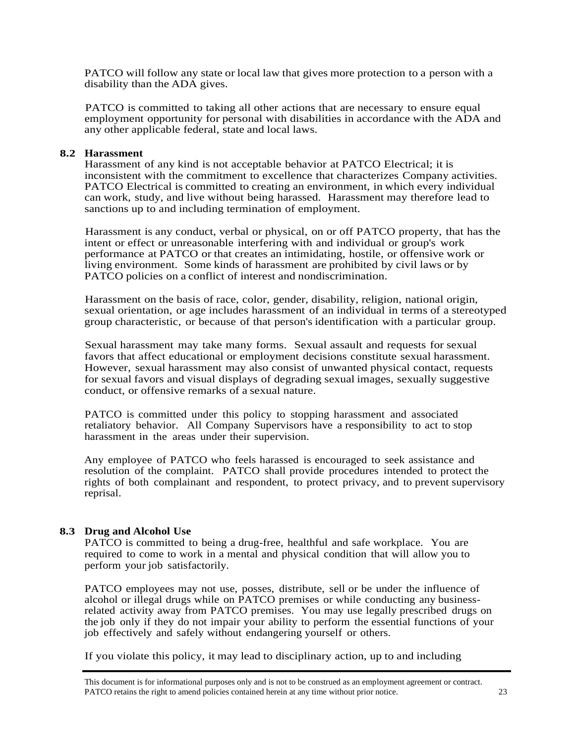PATCO will follow any state or local law that gives more protection to a person with a disability than the ADA gives.

PATCO is committed to taking all other actions that are necessary to ensure equal employment opportunity for personal with disabilities in accordance with the ADA and any other applicable federal, state and local laws.

#### **8.2 Harassment**

Harassment of any kind is not acceptable behavior at PATCO Electrical; it is inconsistent with the commitment to excellence that characterizes Company activities. PATCO Electrical is committed to creating an environment, in which every individual can work, study, and live without being harassed. Harassment may therefore lead to sanctions up to and including termination of employment.

Harassment is any conduct, verbal or physical, on or off PATCO property, that has the intent or effect or unreasonable interfering with and individual or group's work performance at PATCO or that creates an intimidating, hostile, or offensive work or living environment. Some kinds of harassment are prohibited by civil laws or by PATCO policies on a conflict of interest and nondiscrimination.

Harassment on the basis of race, color, gender, disability, religion, national origin, sexual orientation, or age includes harassment of an individual in terms of a stereotyped group characteristic, or because of that person's identification with a particular group.

Sexual harassment may take many forms. Sexual assault and requests for sexual favors that affect educational or employment decisions constitute sexual harassment. However, sexual harassment may also consist of unwanted physical contact, requests for sexual favors and visual displays of degrading sexual images, sexually suggestive conduct, or offensive remarks of a sexual nature.

PATCO is committed under this policy to stopping harassment and associated retaliatory behavior. All Company Supervisors have a responsibility to act to stop harassment in the areas under their supervision.

Any employee of PATCO who feels harassed is encouraged to seek assistance and resolution of the complaint. PATCO shall provide procedures intended to protect the rights of both complainant and respondent, to protect privacy, and to prevent supervisory reprisal.

#### **8.3 Drug and Alcohol Use**

PATCO is committed to being a drug-free, healthful and safe workplace. You are required to come to work in a mental and physical condition that will allow you to perform your job satisfactorily.

PATCO employees may not use, posses, distribute, sell or be under the influence of alcohol or illegal drugs while on PATCO premises or while conducting any businessrelated activity away from PATCO premises. You may use legally prescribed drugs on the job only if they do not impair your ability to perform the essential functions of your job effectively and safely without endangering yourself or others.

If you violate this policy, it may lead to disciplinary action, up to and including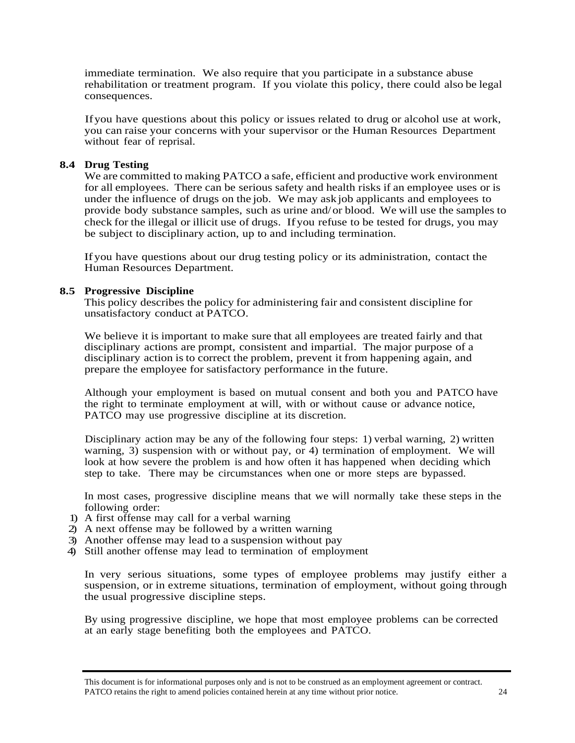immediate termination. We also require that you participate in a substance abuse rehabilitation or treatment program. If you violate this policy, there could also be legal consequences.

Ifyou have questions about this policy or issues related to drug or alcohol use at work, you can raise your concerns with your supervisor or the Human Resources Department without fear of reprisal.

#### **8.4 Drug Testing**

We are committed to making PATCO a safe, efficient and productive work environment for all employees. There can be serious safety and health risks if an employee uses or is under the influence of drugs on the job. We may ask job applicants and employees to provide body substance samples, such as urine and/ or blood. We will use the samples to check for the illegal or illicit use of drugs. Ifyou refuse to be tested for drugs, you may be subject to disciplinary action, up to and including termination.

If you have questions about our drug testing policy or its administration, contact the Human Resources Department.

#### **8.5 Progressive Discipline**

This policy describes the policy for administering fair and consistent discipline for unsatisfactory conduct at PATCO.

We believe it is important to make sure that all employees are treated fairly and that disciplinary actions are prompt, consistent and impartial. The major purpose of a disciplinary action is to correct the problem, prevent it from happening again, and prepare the employee for satisfactory performance in the future.

Although your employment is based on mutual consent and both you and PATCO have the right to terminate employment at will, with or without cause or advance notice, PATCO may use progressive discipline at its discretion.

Disciplinary action may be any of the following four steps: 1) verbal warning, 2) written warning, 3) suspension with or without pay, or 4) termination of employment. We will look at how severe the problem is and how often it has happened when deciding which step to take. There may be circumstances when one or more steps are bypassed.

In most cases, progressive discipline means that we will normally take these steps in the following order:

- 1) A first offense may call for a verbal warning
- 2) A next offense may be followed by a written warning
- 3) Another offense may lead to a suspension without pay
- 4) Still another offense may lead to termination of employment

In very serious situations, some types of employee problems may justify either a suspension, or in extreme situations, termination of employment, without going through the usual progressive discipline steps.

By using progressive discipline, we hope that most employee problems can be corrected at an early stage benefiting both the employees and PATCO.

This document is for informational purposes only and is not to be construed as an employment agreement or contract. PATCO retains the right to amend policies contained herein at any time without prior notice. 24